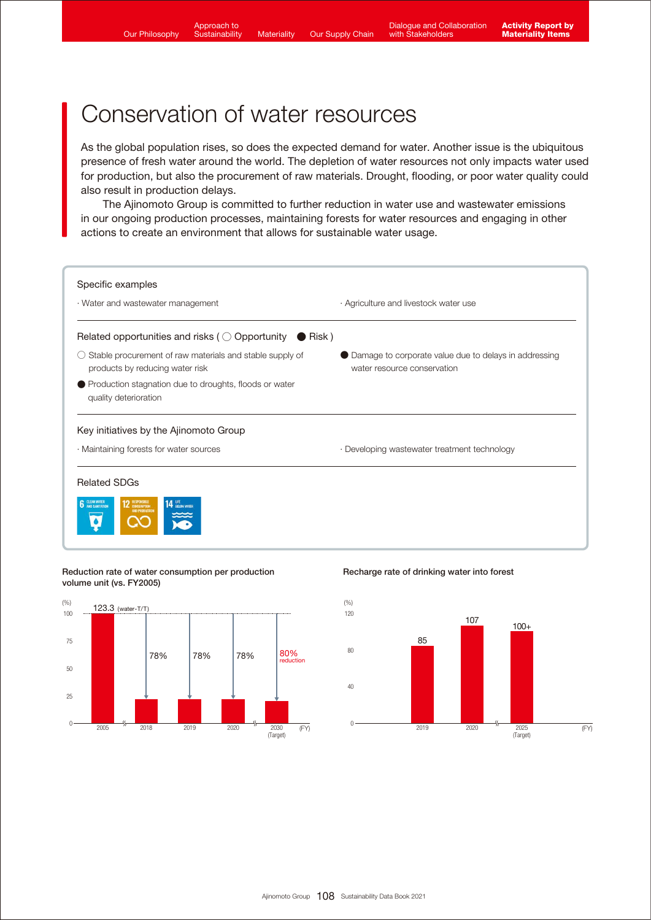Food loss and waste reduction rate per production

 $\overline{a}$ 

<sup>2018</sup> <sup>2025</sup> <sup>0</sup>

 $\mathcal{F}_{\mathcal{F}}$  is the coffee beans and beef

<sup>2016</sup> <sup>2017</sup> <sup>2018</sup> <sup>2019</sup> <sup>0</sup>

\*1 Products that meet the standards the Ajinomoto Group set based on global standards for nutrients used in major nutrient profiling systems  $2^{\log n}$  to delivery to delivery to delivery to delivery to delivery to delivery to delivery to delivery to customers

 $v_{\rm c}$ 

Sustainable procurement ratio

<sup>2018</sup> <sup>0</sup>

Corporate brand value\*4

<sup>800</sup> <sup>711</sup> <sup>778</sup>

\*3 Procured for businesses in Japan

 $44.4$  Evaluated by  $\frac{1}{2}$ 

 $\mathcal{M}$ 

## Conservation of water resources  $\mathcal{P}_{\mathcal{P}}$  products with high nutritional value  $1$  31%  $\mathcal{P}_{\mathcal{P}}$  and  $\mathcal{P}_{\mathcal{P}}$  and  $\mathcal{P}_{\mathcal{P}}$

As the global population rises, so does the expected demand for water. Another issue is the ubiquitous presence of fresh water around the world. The depletion of water resources not only impacts water used presence or fresh water around the wond. The depletion or water resources not only impacts water used<br>for production, but also the procurement of raw materials. Drought, flooding, or poor water quality could also result in production delays.

The Ajinomoto Group is committed to further reduction in water use and wastewater emissions in our ongoing production processes, maintaining forests for water resources and engaging in other actions to create an environment that allows for sustainable water usage.



## Reduction rate of water consumption per production **Recharge rate of drinking water into fores**t volume unit (vs. FY2005) volume unit (vs. FY2005)



<sup>2019</sup> <sup>2020</sup> <sup>0</sup>

Recharge rate of drinking water into forest

<sup>2016</sup> <sup>2017</sup> <sup>2018</sup> <sup>2019</sup> <sup>0</sup>

2020

 $\mathbb{R}^n$ 



2025 (FY)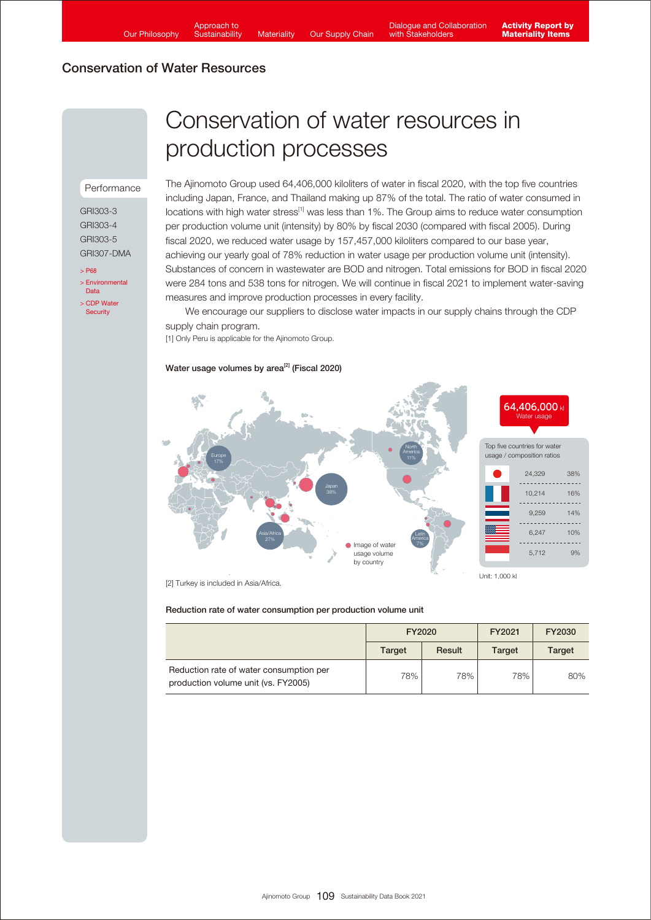# Conservation of Water Resources

## Performance

GRI303-3 GRI303-4 GRI303-5 GRI307-DMA

 $\overline{5}$  P<sub>68</sub> [> Environmental](https://www.ajinomoto.co.jp/company/en/ir/library/databook/main/08/teaserItems1/0/linkList/00/link/SDB2021_appendix_env_en.pdf)  Data [> CDP Water](https://www.ajinomoto.com/sustainability/pdf/2021/Ajinomoto_CDP_Water_2021.pdf)  **Security** 

# Conservation of water resources in production processes

The Ajinomoto Group used 64,406,000 kiloliters of water in fiscal 2020, with the top five countries including Japan, France, and Thailand making up 87% of the total. The ratio of water consumed in locations with high water stress<sup>[1]</sup> was less than 1%. The Group aims to reduce water consumption per production volume unit (intensity) by 80% by fiscal 2030 (compared with fiscal 2005). During fiscal 2020, we reduced water usage by 157,457,000 kiloliters compared to our base year, achieving our yearly goal of 78% reduction in water usage per production volume unit (intensity). Substances of concern in wastewater are BOD and nitrogen. Total emissions for BOD in fiscal 2020 were 284 tons and 538 tons for nitrogen. We will continue in fiscal 2021 to implement water-saving measures and improve production processes in every facility.

 We encourage our suppliers to disclose water impacts in our supply chains through the CDP supply chain program.

[1] Only Peru is applicable for the Ajinomoto Group.

### Water usage volumes by area<sup>[2]</sup> (Fiscal 2020)



[2] Turkey is included in Asia/Africa.

#### Reduction rate of water consumption per production volume unit

|                                                                                | FY2020        |        | FY2021        | FY2030        |
|--------------------------------------------------------------------------------|---------------|--------|---------------|---------------|
|                                                                                | <b>Target</b> | Result | <b>Target</b> | <b>Target</b> |
| Reduction rate of water consumption per<br>production volume unit (vs. FY2005) | 78%           | 78%    | 78%           | 80%           |